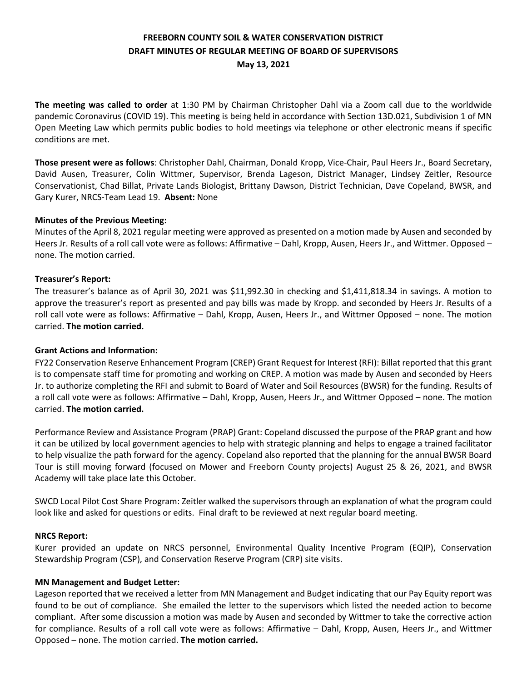# **FREEBORN COUNTY SOIL & WATER CONSERVATION DISTRICT DRAFT MINUTES OF REGULAR MEETING OF BOARD OF SUPERVISORS May 13, 2021**

**The meeting was called to order** at 1:30 PM by Chairman Christopher Dahl via a Zoom call due to the worldwide pandemic Coronavirus (COVID 19). This meeting is being held in accordance with Section 13D.021, Subdivision 1 of MN Open Meeting Law which permits public bodies to hold meetings via telephone or other electronic means if specific conditions are met.

**Those present were as follows**: Christopher Dahl, Chairman, Donald Kropp, Vice-Chair, Paul Heers Jr., Board Secretary, David Ausen, Treasurer, Colin Wittmer, Supervisor, Brenda Lageson, District Manager, Lindsey Zeitler, Resource Conservationist, Chad Billat, Private Lands Biologist, Brittany Dawson, District Technician, Dave Copeland, BWSR, and Gary Kurer, NRCS-Team Lead 19. **Absent:** None

# **Minutes of the Previous Meeting:**

Minutes of the April 8, 2021 regular meeting were approved as presented on a motion made by Ausen and seconded by Heers Jr. Results of a roll call vote were as follows: Affirmative – Dahl, Kropp, Ausen, Heers Jr., and Wittmer. Opposed – none. The motion carried.

# **Treasurer's Report:**

The treasurer's balance as of April 30, 2021 was \$11,992.30 in checking and \$1,411,818.34 in savings. A motion to approve the treasurer's report as presented and pay bills was made by Kropp. and seconded by Heers Jr. Results of a roll call vote were as follows: Affirmative – Dahl, Kropp, Ausen, Heers Jr., and Wittmer Opposed – none. The motion carried. **The motion carried.** 

#### **Grant Actions and Information:**

FY22 Conservation Reserve Enhancement Program (CREP) Grant Request for Interest (RFI): Billat reported that this grant is to compensate staff time for promoting and working on CREP. A motion was made by Ausen and seconded by Heers Jr. to authorize completing the RFI and submit to Board of Water and Soil Resources (BWSR) for the funding. Results of a roll call vote were as follows: Affirmative – Dahl, Kropp, Ausen, Heers Jr., and Wittmer Opposed – none. The motion carried. **The motion carried.** 

Performance Review and Assistance Program (PRAP) Grant: Copeland discussed the purpose of the PRAP grant and how it can be utilized by local government agencies to help with strategic planning and helps to engage a trained facilitator to help visualize the path forward for the agency. Copeland also reported that the planning for the annual BWSR Board Tour is still moving forward (focused on Mower and Freeborn County projects) August 25 & 26, 2021, and BWSR Academy will take place late this October.

SWCD Local Pilot Cost Share Program: Zeitler walked the supervisors through an explanation of what the program could look like and asked for questions or edits. Final draft to be reviewed at next regular board meeting.

#### **NRCS Report:**

Kurer provided an update on NRCS personnel, Environmental Quality Incentive Program (EQIP), Conservation Stewardship Program (CSP), and Conservation Reserve Program (CRP) site visits.

#### **MN Management and Budget Letter:**

Lageson reported that we received a letter from MN Management and Budget indicating that our Pay Equity report was found to be out of compliance. She emailed the letter to the supervisors which listed the needed action to become compliant. After some discussion a motion was made by Ausen and seconded by Wittmer to take the corrective action for compliance. Results of a roll call vote were as follows: Affirmative – Dahl, Kropp, Ausen, Heers Jr., and Wittmer Opposed – none. The motion carried. **The motion carried.**